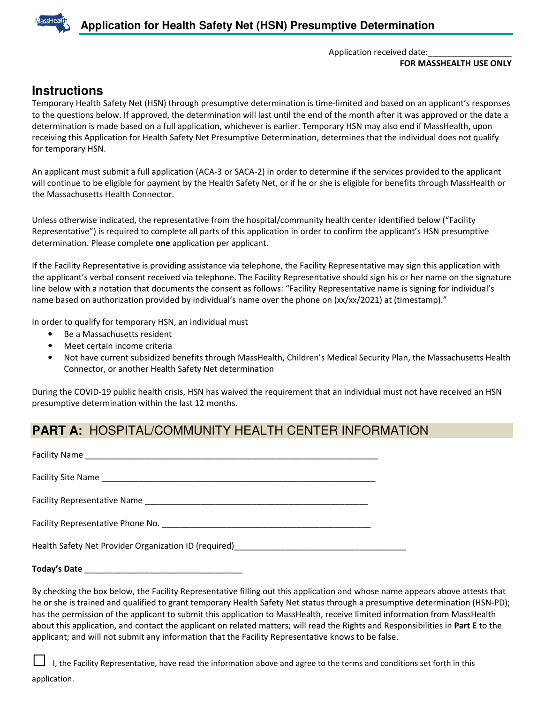

Application received date:

**FOR MASSHEALTH USE ONLY** 

## **Instructions**

Temporary Health Safety Net (HSN) through presumptive determination is time-limited and based on an applicant's responses to the questions below. If approved, the determination will last until the end of the month after it was approved or the date a determination is made based on a full application, whichever is earlier. Temporary HSN may also end if MassHealth, upon receiving this Application for Health Safety Net Presumptive Determination, determines that the individual does not qualify for temporary HSN.

An applicant must submit a full application (ACA-3 or SACA-2) in order to determine if the services provided to the applicant will continue to be eligible for payment by the Health Safety Net, or if he or she is eligible for benefits through MassHealth or the Massachusetts Health Connector.

Unless otherwise indicated, the representative from the hospital/community health center identified below ("Facility Representative") is required to complete all parts of this application in order to confirm the applicant's HSN presumptive determination. Please complete **one** application per applicant.

If the Facility Representative is providing assistance via telephone, the Facility Representative may sign this application with the applicant's verbal consent received via telephone. The Facility Representative should sign his or her name on the signature line below with a notation that documents the consent as follows: "Facility Representative name is signing for individual's name based on authorization provided by individual's name over the phone on (xx/xx/2021) at (timestamp)."

In order to qualify for temporary HSN, an individual must

- Be a Massachusetts resident
- Meet certain income criteria
- Not have current subsidized benefits through MassHealth, Children's Medical Security Plan, the Massachusetts Health Connector, or another Health Safety Net determination

During the COVID-19 public health crisis, HSN has waived the requirement that an individual must not have received an HSN presumptive determination within the last 12 months.

## **PART A:** HOSPITAL/COMMUNITY HEALTH CENTER INFORMATION

Facility Name Facility Site Name \_\_\_\_\_\_\_\_\_\_\_\_\_\_\_\_\_\_\_\_\_\_\_\_\_\_\_\_\_\_\_\_\_\_\_\_\_\_\_\_\_\_\_\_\_\_\_\_\_\_\_\_\_\_\_\_\_\_\_ Facility Representative Name \_\_\_\_\_\_\_\_\_\_\_\_\_\_\_\_\_\_\_\_\_\_\_\_\_\_\_\_\_\_\_\_\_\_\_\_\_\_\_\_\_\_\_\_\_\_\_\_ Facility Representative Phone No. **Example 18 and 20 and 20 and 20 and 20 and 20 and 20 and 20 and 20 and 20 and 20 and 20 and 20 and 20 and 20 and 20 and 20 and 20 and 20 and 20 and 20 and 20 and 20 and 20 and 20 and 20 a** Health Safety Net Provider Organization ID (required)

#### **Today's Date** \_\_\_\_\_\_\_\_\_\_\_\_\_\_\_\_\_\_\_\_\_\_\_\_\_\_\_\_\_\_\_\_\_\_

By checking the box below, the Facility Representative filling out this application and whose name appears above attests that he or she is trained and qualified to grant temporary Health Safety Net status through a presumptive determination (HSN-PD); has the permission of the applicant to submit this application to MassHealth, receive limited information from MassHealth about this application, and contact the applicant on related matters; will read the Rights and Responsibilities in **Part E** to the applicant; and will not submit any information that the Facility Representative knows to be false.

I, the Facility Representative, have read the information above and agree to the terms and conditions set forth in this application.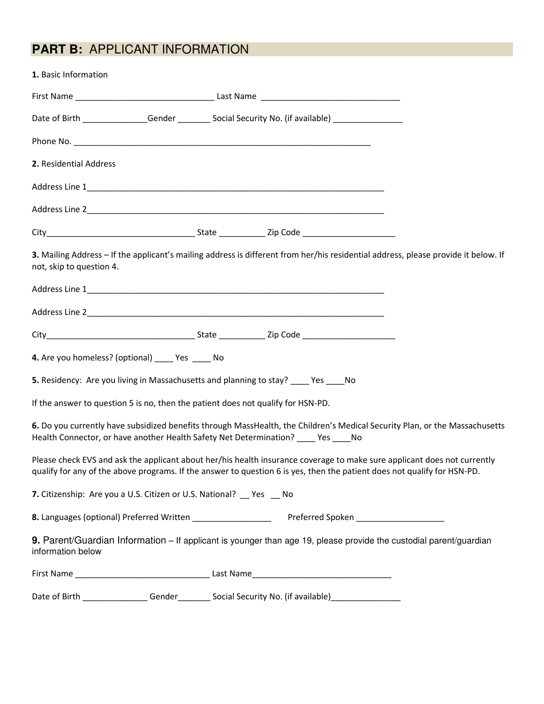# **PART B:** APPLICANT INFORMATION

| 1. Basic Information                                                                                                     |  |  |  |                                                                                                                                    |  |
|--------------------------------------------------------------------------------------------------------------------------|--|--|--|------------------------------------------------------------------------------------------------------------------------------------|--|
|                                                                                                                          |  |  |  |                                                                                                                                    |  |
| Date of Birth ________________Gender __________ Social Security No. (if available) ________________                      |  |  |  |                                                                                                                                    |  |
|                                                                                                                          |  |  |  |                                                                                                                                    |  |
| 2. Residential Address                                                                                                   |  |  |  |                                                                                                                                    |  |
|                                                                                                                          |  |  |  |                                                                                                                                    |  |
|                                                                                                                          |  |  |  |                                                                                                                                    |  |
|                                                                                                                          |  |  |  |                                                                                                                                    |  |
| not, skip to question 4.                                                                                                 |  |  |  | 3. Mailing Address - If the applicant's mailing address is different from her/his residential address, please provide it below. If |  |
|                                                                                                                          |  |  |  |                                                                                                                                    |  |
|                                                                                                                          |  |  |  |                                                                                                                                    |  |
|                                                                                                                          |  |  |  |                                                                                                                                    |  |
| 4. Are you homeless? (optional) ____ Yes ____ No                                                                         |  |  |  |                                                                                                                                    |  |
| 5. Residency: Are you living in Massachusetts and planning to stay? ____ Yes ____ No                                     |  |  |  |                                                                                                                                    |  |
| If the answer to question 5 is no, then the patient does not qualify for HSN-PD.                                         |  |  |  |                                                                                                                                    |  |
| Health Connector, or have another Health Safety Net Determination? ____ Yes ____ No                                      |  |  |  | 6. Do you currently have subsidized benefits through MassHealth, the Children's Medical Security Plan, or the Massachusetts        |  |
| qualify for any of the above programs. If the answer to question 6 is yes, then the patient does not qualify for HSN-PD. |  |  |  | Please check EVS and ask the applicant about her/his health insurance coverage to make sure applicant does not currently           |  |
| 7. Citizenship: Are you a U.S. Citizen or U.S. National? Yes No                                                          |  |  |  |                                                                                                                                    |  |
|                                                                                                                          |  |  |  |                                                                                                                                    |  |
| information below                                                                                                        |  |  |  | 9. Parent/Guardian Information - If applicant is younger than age 19, please provide the custodial parent/guardian                 |  |
|                                                                                                                          |  |  |  |                                                                                                                                    |  |
| Date of Birth _________________Gender___________Social Security No. (if available)__________________                     |  |  |  |                                                                                                                                    |  |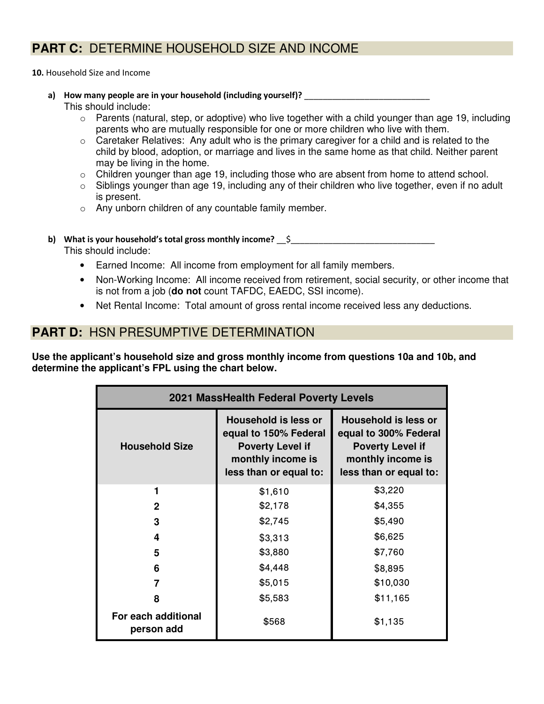# **PART C:** DETERMINE HOUSEHOLD SIZE AND INCOME

**10.** Household Size and Income

a) How many people are in your household (including yourself)?

This should include:

- $\circ$  Parents (natural, step, or adoptive) who live together with a child younger than age 19, including parents who are mutually responsible for one or more children who live with them.
- $\circ$  Caretaker Relatives: Any adult who is the primary caregiver for a child and is related to the child by blood, adoption, or marriage and lives in the same home as that child. Neither parent may be living in the home.
- o Children younger than age 19, including those who are absent from home to attend school.
- o Siblings younger than age 19, including any of their children who live together, even if no adult is present.
- o Any unborn children of any countable family member.
- **b)** What is your household's total gross monthly income? \_\_\$\_\_\_\_\_\_\_\_\_\_\_\_\_\_\_\_\_\_\_\_ This should include:
	- Earned Income: All income from employment for all family members.
	- Non-Working Income: All income received from retirement, social security, or other income that is not from a job (**do not** count TAFDC, EAEDC, SSI income).
	- Net Rental Income: Total amount of gross rental income received less any deductions.

### **PART D:** HSN PRESUMPTIVE DETERMINATION

**Use the applicant's household size and gross monthly income from questions 10a and 10b, and determine the applicant's FPL using the chart below.** 

| 2021 MassHealth Federal Poverty Levels |                                                                                                                                |                                                                                                                                |  |  |  |
|----------------------------------------|--------------------------------------------------------------------------------------------------------------------------------|--------------------------------------------------------------------------------------------------------------------------------|--|--|--|
| <b>Household Size</b>                  | <b>Household is less or</b><br>equal to 150% Federal<br><b>Poverty Level if</b><br>monthly income is<br>less than or equal to: | <b>Household is less or</b><br>equal to 300% Federal<br><b>Poverty Level if</b><br>monthly income is<br>less than or equal to: |  |  |  |
| 1                                      | \$1,610                                                                                                                        | \$3,220                                                                                                                        |  |  |  |
| 2                                      | \$2,178                                                                                                                        | \$4,355                                                                                                                        |  |  |  |
| 3                                      | \$2,745                                                                                                                        | \$5,490                                                                                                                        |  |  |  |
| 4                                      | \$3,313                                                                                                                        | \$6,625                                                                                                                        |  |  |  |
| 5                                      | \$3,880                                                                                                                        | \$7,760                                                                                                                        |  |  |  |
| 6                                      | \$4,448                                                                                                                        | \$8,895                                                                                                                        |  |  |  |
| 7                                      | \$5,015                                                                                                                        | \$10,030                                                                                                                       |  |  |  |
| 8                                      | \$5,583                                                                                                                        | \$11,165                                                                                                                       |  |  |  |
| For each additional<br>person add      | \$568                                                                                                                          | \$1,135                                                                                                                        |  |  |  |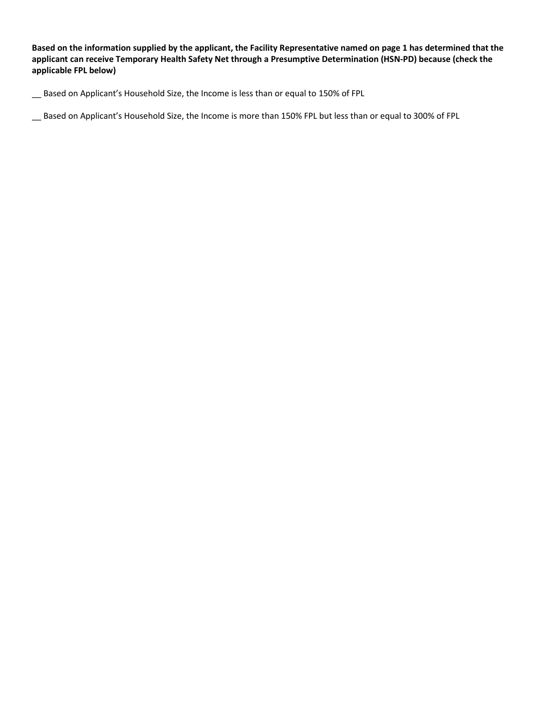**Based on the information supplied by the applicant, the Facility Representative named on page 1 has determined that the applicant can receive Temporary Health Safety Net through a Presumptive Determination (HSN-PD) because (check the applicable FPL below)** 

Based on Applicant's Household Size, the Income is less than or equal to 150% of FPL

\_\_ Based on Applicant's Household Size, the Income is more than 150% FPL but less than or equal to 300% of FPL